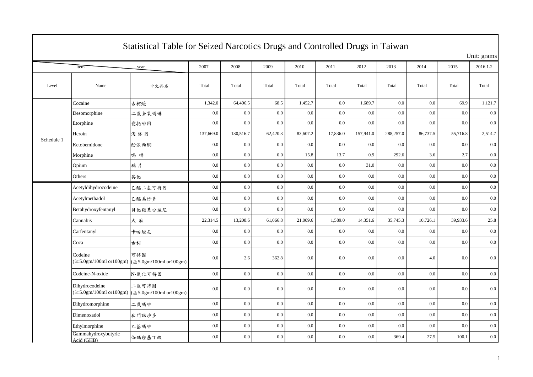|            |                                   | Statistical Table for Seized Narcotics Drugs and Controlled Drugs in Taiwan |           |           |          |          |          |           |           |          |          |             |
|------------|-----------------------------------|-----------------------------------------------------------------------------|-----------|-----------|----------|----------|----------|-----------|-----------|----------|----------|-------------|
|            |                                   |                                                                             |           |           |          |          |          |           |           |          |          | Unit: grams |
|            | Item                              | year                                                                        | 2007      | 2008      | 2009     | 2010     | 2011     | 2012      | 2013      | 2014     | 2015     | 2016.1-2    |
| Level      | Name                              | 中文品名                                                                        | Total     | Total     | Total    | Total    | Total    | Total     | Total     | Total    | Total    | Total       |
|            | Cocaine                           | 古柯缎                                                                         | 1,342.0   | 64,406.5  | 68.5     | 1,452.7  | 0.0      | 1,689.7   | 0.0       | 0.0      | 69.9     | 1,121.7     |
|            | Desomorphine                      | 二氫去氧嗎啡                                                                      | $0.0\,$   | $0.0\,$   | 0.0      | 0.0      | 0.0      | $0.0\,$   | 0.0       | 0.0      | 0.0      | 0.0         |
|            | Etorphine                         | 愛托啡因                                                                        | 0.0       | 0.0       | 0.0      | 0.0      | 0.0      | $0.0\,$   | 0.0       | 0.0      | 0.0      | 0.0         |
|            | Heroin                            | 海洛因                                                                         | 137,669.0 | 130,516.7 | 62,420.3 | 83,607.2 | 17,836.0 | 157,941.0 | 288,257.0 | 86,737.5 | 55,716.8 | 2,514.7     |
| Schedule 1 | Ketobemidone                      | 酚派丙酮                                                                        | 0.0       | 0.0       | 0.0      | 0.0      | 0.0      | 0.0       | 0.0       | 0.0      | 0.0      | 0.0         |
|            | Morphine                          | 嗎啡                                                                          | 0.0       | 0.0       | 0.0      | 15.8     | 13.7     | 0.9       | 292.6     | 3.6      | 2.7      | 0.0         |
|            | Opium                             | 鴉片                                                                          | $0.0\,$   | $0.0\,$   | 0.0      | 0.0      | $0.0\,$  | 31.0      | 0.0       | 0.0      | 0.0      | 0.0         |
|            | Others                            | 其他                                                                          | $0.0\,$   | 0.0       | 0.0      | 0.0      | 0.0      | 0.0       | 0.0       | 0.0      | 0.0      | 0.0         |
|            | Acetyldihydrocodeine              | 乙醯二氢可待因                                                                     | 0.0       | 0.0       | 0.0      | 0.0      | 0.0      | 0.0       | 0.0       | 0.0      | 0.0      | 0.0         |
|            | Acetylmethadol                    | 乙醯美沙多                                                                       | $0.0\,$   | 0.0       | 0.0      | 0.0      | $0.0\,$  | $0.0\,$   | 0.0       | 0.0      | 0.0      | 0.0         |
|            | Betahydroxyfentanyl               | 貝他羥基吩坦尼                                                                     | 0.0       | 0.0       | 0.0      | 0.0      | 0.0      | 0.0       | 0.0       | 0.0      | 0.0      | 0.0         |
|            | Cannabis                          | 大麻                                                                          | 22,314.5  | 13,208.6  | 61,066.8 | 21,009.6 | 1,589.0  | 14,351.6  | 35,745.3  | 10,726.1 | 39,933.6 | 25.8        |
|            | Carfentanyl                       | 卡吩坦尼                                                                        | 0.0       | 0.0       | 0.0      | 0.0      | $0.0\,$  | $0.0\,$   | 0.0       | 0.0      | 0.0      | 0.0         |
|            | Coca                              | 古柯                                                                          | 0.0       | 0.0       | 0.0      | 0.0      | 0.0      | $0.0\,$   | 0.0       | 0.0      | 0.0      | $0.0\,$     |
|            | Codeine                           | 可待因<br>$(\geq 5.0$ gm/100ml or100gm) ( $\geq 5.0$ gm/100ml or100gm)         | 0.0       | 2.6       | 362.8    | 0.0      | 0.0      | 0.0       | 0.0       | 4.0      | 0.0      | 0.0         |
|            | Codeine-N-oxide                   | N-氧化可待因                                                                     | 0.0       | $0.0\,$   | 0.0      | 0.0      | 0.0      | $0.0\,$   | 0.0       | 0.0      | 0.0      | $0.0\,$     |
|            | Dihydrocodeine                    | 二氫可待因<br>$(\geq 5.0$ gm/100ml or100gm) ( $\geq 5.0$ gm/100ml or100gm)       | 0.0       | 0.0       | 0.0      | 0.0      | 0.0      | 0.0       | 0.0       | 0.0      | 0.0      | 0.0         |
|            | Dihydromorphine                   | 二氢嗎啡                                                                        | $0.0\,$   | 0.0       | 0.0      | 0.0      | 0.0      | 0.0       | 0.0       | 0.0      | 0.0      | 0.0         |
|            | Dimenoxadol                       | 狄門諾沙多                                                                       | 0.0       | 0.0       | 0.0      | 0.0      | 0.0      | 0.0       | 0.0       | 0.0      | 0.0      | $0.0\,$     |
|            | Ethylmorphine                     | 乙基嗎啡                                                                        | $0.0\,$   | 0.0       | 0.0      | 0.0      | $0.0\,$  | $0.0\,$   | 0.0       | 0.0      | 0.0      | 0.0         |
|            | Gammahydroxybutyric<br>Acid (GHB) | 伽碼羥基丁酸                                                                      | 0.0       | 0.0       | 0.0      | 0.0      | 0.0      | 0.0       | 369.4     | 27.5     | 100.1    | 0.0         |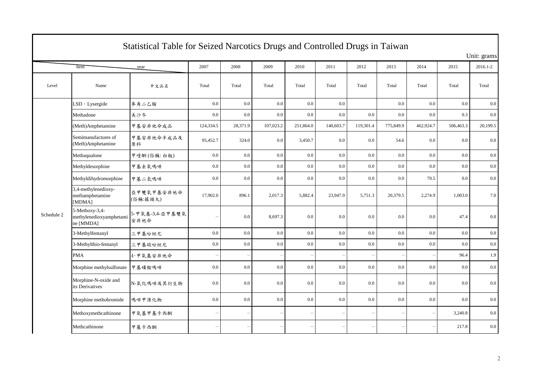| Statistical Table for Seized Narcotics Drugs and Controlled Drugs in Taiwan |                                                        |                         |           |                          |           |           |           |           |           |           |           |          |  |  |
|-----------------------------------------------------------------------------|--------------------------------------------------------|-------------------------|-----------|--------------------------|-----------|-----------|-----------|-----------|-----------|-----------|-----------|----------|--|--|
|                                                                             | Unit: grams                                            |                         |           |                          |           |           |           |           |           |           |           |          |  |  |
|                                                                             | Item                                                   | year                    | 2007      | 2008                     | 2009      | 2010      | 2011      | 2012      | 2013      | 2014      | 2015      | 2016.1-2 |  |  |
| Level                                                                       | Name                                                   | 中文品名                    | Total     | Total                    | Total     | Total     | Total     | Total     | Total     | Total     | Total     | Total    |  |  |
|                                                                             | LSD · Lysergide                                        | 麥角二乙胺                   | $0.0\,$   | $0.0\,$                  | 0.0       | 0.0       | 0.0       |           | 0.0       | 0.0       | 0.0       | 0.0      |  |  |
|                                                                             | Methadone                                              | 美沙冬                     | 0.0       | 0.0                      | 0.0       | 0.0       | 0.0       | 0.0       | 0.0       | 0.0       | 0.3       | $0.0\,$  |  |  |
|                                                                             | (Meth)Amphetamine                                      | 甲基安非他命成品                | 124,334.5 | 28,371.9                 | 107,023.2 | 251,864.0 | 140,603.7 | 119,301.4 | 775,849.9 | 462,924.7 | 506,463.3 | 20,199.5 |  |  |
|                                                                             | Semimanufactures of<br>(Meth)Amphetamine               | 甲基安非他命半成品及<br>原料        | 95,452.7  | 324.0                    | 0.0       | 3,450.7   | $0.0\,$   | 0.0       | 54.6      | $0.0\,$   | 0.0       | 0.0      |  |  |
|                                                                             | Methaqualone                                           | 甲喹酮(俗稱:白板)              | $0.0\,$   | 0.0                      | 0.0       | 0.0       | 0.0       | $0.0\,$   | 0.0       | $0.0\,$   | 0.0       | $0.0\,$  |  |  |
|                                                                             | Methyldesorphine                                       | 甲基去氧嗎啡                  | $0.0\,$   | 0.0                      | $0.0\,$   | 0.0       | $0.0\,$   | 0.0       | 0.0       | 0.0       | $0.0\,$   | $0.0\,$  |  |  |
|                                                                             | Methyldihydromorphine                                  | 甲基二氢嗎啡                  | 0.0       | 0.0                      | 0.0       | 0.0       | 0.0       | 0.0       | 0.0       | 70.5      | 0.0       | $0.0\,$  |  |  |
|                                                                             | 3,4-methylenedioxy-<br>methamphetamine<br>[MDMA]       | 亞甲雙氧甲基安非他命<br>(俗稱:搖頭丸)  | 17,902.0  | 896.1                    | 2,017.3   | 5,882.4   | 23,947.9  | 5,751.3   | 20,379.5  | 2,274.9   | 1,003.0   | 7.0      |  |  |
| Schedule 2                                                                  | 5-Methoxy-3,4-<br>methylenedioxyamphetami<br>ne [MMDA] | 5-甲氧基-3,4-亞甲基雙氧<br>安非他命 |           | 0.0                      | 8,697.3   | 0.0       | 0.0       | 0.0       | 0.0       | 0.0       | 47.4      | 0.0      |  |  |
|                                                                             | 3-Methylfentanyl                                       | 三甲基吩坦尼                  | $0.0\,$   | 0.0                      | 0.0       | 0.0       | 0.0       | 0.0       | 0.0       | 0.0       | 0.0       | $0.0\,$  |  |  |
|                                                                             | 3-Methylthio-fentanyl                                  | 三甲基硫吩坦尼                 | $0.0\,$   | $0.0\,$                  | 0.0       | 0.0       | 0.0       | 0.0       | 0.0       | 0.0       | 0.0       | $0.0\,$  |  |  |
|                                                                             | <b>PMA</b>                                             | 4-甲氧基安非他命               |           |                          |           |           |           |           |           |           | 96.4      | 1.9      |  |  |
|                                                                             | Morphine methylsulfonate                               | 甲基磺胺嗎啡                  | 0.0       | 0.0                      | 0.0       | 0.0       | 0.0       | 0.0       | 0.0       | 0.0       | 0.0       | $0.0\,$  |  |  |
|                                                                             | Morphine-N-oxide and<br>its Derivatives                | N-氧化嗎啡及其衍生物             | $0.0\,$   | 0.0                      | 0.0       | 0.0       | 0.0       | 0.0       | 0.0       | 0.0       | 0.0       | $0.0\,$  |  |  |
|                                                                             | Morphine methobromide                                  | 嗎啡甲溴化物                  | 0.0       | 0.0                      | 0.0       | 0.0       | 0.0       | 0.0       | 0.0       | 0.0       | 0.0       | 0.0      |  |  |
|                                                                             | Methoxymethcathinone                                   | 甲氧基甲基卡西酮                |           | $\overline{\phantom{0}}$ |           |           |           |           |           |           | 3,240.8   | 0.0      |  |  |
|                                                                             | Methcathinone                                          | 甲基卡西酮                   |           | $\overline{\phantom{a}}$ |           |           |           |           |           |           | 217.8     | 0.0      |  |  |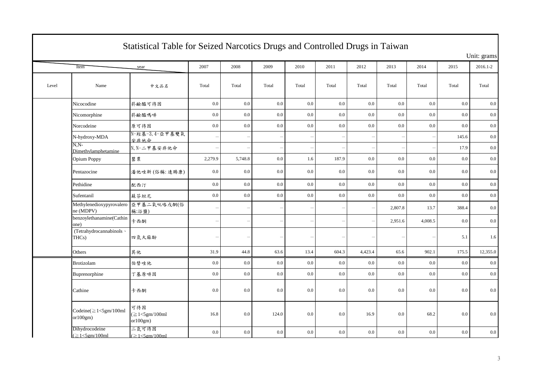|       | Statistical Table for Seized Narcotics Drugs and Controlled Drugs in Taiwan |                                          |                          |                          |       |                          |       |                          |         |         |       |             |  |  |
|-------|-----------------------------------------------------------------------------|------------------------------------------|--------------------------|--------------------------|-------|--------------------------|-------|--------------------------|---------|---------|-------|-------------|--|--|
|       |                                                                             |                                          |                          |                          |       |                          |       |                          |         |         |       | Unit: grams |  |  |
|       | Item                                                                        | year                                     | 2007                     | 2008                     | 2009  | 2010                     | 2011  | 2012                     | 2013    | 2014    | 2015  | 2016.1-2    |  |  |
| Level | Name                                                                        | 中文品名                                     | Total                    | Total                    | Total | Total                    | Total | Total                    | Total   | Total   | Total | Total       |  |  |
|       | Nicocodine                                                                  | 菸鹼醯可待因                                   | 0.0                      | 0.0                      | 0.0   | 0.0                      | 0.0   | 0.0                      | 0.0     | 0.0     | 0.0   | 0.0         |  |  |
|       | Nicomorphine                                                                | 菸鹼醯嗎啡                                    | 0.0                      | $0.0\,$                  | 0.0   | 0.0                      | 0.0   | 0.0                      | $0.0\,$ | 0.0     | 0.0   | 0.0         |  |  |
|       | Norcodeine                                                                  | 原可待因                                     | $0.0\,$                  | $0.0\,$                  | 0.0   | 0.0                      | 0.0   | 0.0                      | $0.0\,$ | 0.0     | 0.0   | 0.0         |  |  |
|       | N-hydroxy-MDA                                                               | 安非他命                                     |                          | $\overline{\phantom{a}}$ |       | $\overline{\phantom{a}}$ |       | $\overline{\phantom{a}}$ |         |         | 145.6 | $0.0\,$     |  |  |
|       | $N.N-$<br>Dimethylamphetamine                                               | N, N-二甲基安非他命                             |                          |                          |       |                          |       | $\overline{\phantom{0}}$ |         |         | 17.9  | 0.0         |  |  |
|       | Opium Poppy                                                                 | 罌粟                                       | 2,279.9                  | 5,748.8                  | 0.0   | 1.6                      | 187.9 | 0.0                      | 0.0     | 0.0     | 0.0   | 0.0         |  |  |
|       | Pentazocine                                                                 | 潘他唑新(俗稱:速賜康)                             | $0.0\,$                  | 0.0                      | 0.0   | 0.0                      | 0.0   | 0.0                      | 0.0     | 0.0     | 0.0   | 0.0         |  |  |
|       | Pethidine                                                                   | 配西汀                                      | $0.0\,$                  | $0.0\,$                  | 0.0   | 0.0                      | 0.0   | 0.0                      | $0.0\,$ | 0.0     | 0.0   | 0.0         |  |  |
|       | Sufentanil                                                                  | 蘇芬坦尼                                     | 0.0                      | $0.0\,$                  | 0.0   | 0.0                      | 0.0   | $0.0\,$                  | 0.0     | 0.0     | 0.0   | 0.0         |  |  |
|       | Methylenedioxypyrovalero 亞甲基二氧吡咯戊酮(俗<br>ne (MDPV)                           | 稱:浴鹽)                                    | $\overline{\phantom{a}}$ | $\overline{\phantom{0}}$ |       |                          |       | $\overline{\phantom{0}}$ | 2,807.8 | 13.7    | 388.4 | 0.0         |  |  |
|       | benzoylethanamine(Cathin<br>one)                                            | 卡西酮                                      |                          | $\overline{\phantom{0}}$ |       |                          |       | $\qquad \qquad -$        | 2,951.6 | 4,008.5 | 0.0   | $0.0\,$     |  |  |
|       | (Tetrahydrocannabinols \<br>THCs)                                           | 四氫大麻酚                                    |                          | $\overline{\phantom{0}}$ |       |                          |       | $\overline{\phantom{0}}$ |         |         | 5.1   | 1.6         |  |  |
|       | Others                                                                      | 其他                                       | 31.9                     | 44.8                     | 63.6  | 13.4                     | 604.3 | 4,423.4                  | 65.6    | 902.1   | 175.5 | 12,355.0    |  |  |
|       | Brotizolam                                                                  | 伯替唑他                                     | 0.0                      | $0.0\,$                  | 0.0   | 0.0                      | 0.0   | $0.0\,$                  | 0.0     | 0.0     | 0.0   | 0.0         |  |  |
|       | Buprenorphine                                                               | 丁基原啡因                                    | 0.0                      | 0.0                      | 0.0   | 0.0                      | 0.0   | 0.0                      | 0.0     | 0.0     | 0.0   | 0.0         |  |  |
|       | Cathine                                                                     | 卡西酮                                      | 0.0                      | 0.0                      | 0.0   | 0.0                      | 0.0   | 0.0                      | $0.0\,$ | 0.0     | 0.0   | $0.0\,$     |  |  |
|       | Codeine $(\geq 1<$ 5gm/100ml<br>or 100gm)                                   | 可待因<br>$(\geq 1<5$ gm/100ml<br>or 100gm) | 16.8                     | $0.0\,$                  | 124.0 | 0.0                      | 0.0   | 16.9                     | 0.0     | 68.2    | 0.0   | 0.0         |  |  |
|       | Dihydrocodeine<br>$(\geq1<5$ gm/100ml                                       | 二氫可待因<br>$(≥1 < 5$ gm/100ml              | $0.0\,$                  | $0.0\,$                  | 0.0   | 0.0                      | 0.0   | 0.0                      | 0.0     | 0.0     | 0.0   | $0.0\,$     |  |  |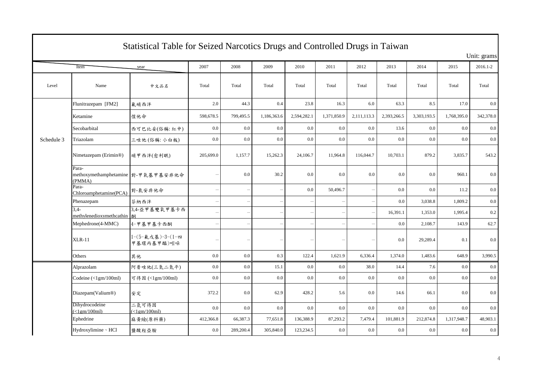|            | Statistical Table for Seized Narcotics Drugs and Controlled Drugs in Taiwan |                                |           |                          |             |                          |             |                          |             |             |             |             |  |  |
|------------|-----------------------------------------------------------------------------|--------------------------------|-----------|--------------------------|-------------|--------------------------|-------------|--------------------------|-------------|-------------|-------------|-------------|--|--|
|            |                                                                             |                                |           |                          |             |                          |             |                          |             |             |             | Unit: grams |  |  |
|            | Item                                                                        | year                           | 2007      | 2008                     | 2009        | 2010                     | 2011        | 2012                     | 2013        | 2014        | 2015        | 2016.1-2    |  |  |
| Level      | Name                                                                        | 中文品名                           | Total     | Total                    | Total       | Total                    | Total       | Total                    | Total       | Total       | Total       | Total       |  |  |
|            | Flunitrazepam [FM2]                                                         | 氟硝西泮                           | 2.0       | 44.3                     | 0.4         | 23.8                     | 16.3        | 6.0                      | 63.3        | 8.5         | 17.0        | 0.0         |  |  |
|            | Ketamine                                                                    | 愷他命                            | 598,678.5 | 799,495.5                | 1,186,363.6 | 2,594,282.1              | 1,371,850.9 | 2,111,113.3              | 2,393,266.5 | 3,303,193.5 | 1,768,395.0 | 342,378.0   |  |  |
|            | Secobarbital                                                                | 西可巴比妥(俗稱:紅中)                   | 0.0       | 0.0                      | 0.0         | 0.0                      | 0.0         | 0.0                      | 13.6        | 0.0         | 0.0         | 0.0         |  |  |
| Schedule 3 | Triazolam                                                                   | 三唑他(俗稱:小白板)                    | 0.0       | 0.0                      | 0.0         | 0.0                      | 0.0         | 0.0                      | $0.0\,$     | 0.0         | 0.0         | $0.0\,$     |  |  |
|            | Nimetazepam (Erimin®)                                                       | 硝甲西泮(愈利眠)                      | 205,699.0 | 1,157.7                  | 15,262.3    | 24,106.7                 | 11,964.8    | 116,044.7                | 10,703.1    | 879.2       | 3,835.7     | 543.2       |  |  |
|            | Para-<br>methoxymethamphetamine 對-甲氧基甲基安非他命<br>(PMMA)                       |                                |           | 0.0                      | 30.2        | 0.0                      | 0.0         | 0.0                      | 0.0         | 0.0         | 960.1       | 0.0         |  |  |
|            | Para-<br>Chloroamphetamine(PCA)                                             | 對-氯安非他命                        |           | $\overline{\phantom{a}}$ |             | 0.0                      | 50,496.7    |                          | 0.0         | 0.0         | 11.2        | 0.0         |  |  |
|            | Phenazepam                                                                  | 芬納西泮                           |           |                          |             |                          |             | $\overline{\phantom{0}}$ | 0.0         | 3,038.8     | 1,809.2     | 0.0         |  |  |
|            | $\overline{3.4}$<br>methylenedioxymethcathin                                | 3,4-亞甲基雙氧甲基卡西                  |           | $\overline{\phantom{0}}$ |             | $\overline{\phantom{a}}$ |             | $\overline{\phantom{0}}$ | 16,391.1    | 1,353.0     | 1,995.4     | $0.2\,$     |  |  |
|            | Mephedrone(4-MMC)                                                           | 4-甲基甲基卡西酮                      |           | $\qquad \qquad -$        |             |                          |             | $\overline{\phantom{0}}$ | 0.0         | 2,108.7     | 143.9       | 62.7        |  |  |
|            | $XLR-11$                                                                    | 1-(5-氟戊基)-3-(1-四<br>甲基環丙基甲醯)吲哚 |           | $\overline{\phantom{0}}$ |             |                          |             |                          | 0.0         | 29,289.4    | 0.1         | 0.0         |  |  |
|            | Others                                                                      | 其他                             | 0.0       | 0.0                      | 0.3         | 122.4                    | 1,621.9     | 6,336.4                  | 1,374.0     | 1,483.6     | 648.9       | 3,990.5     |  |  |
|            | Alprazolam                                                                  | 阿普唑他(三氮二氮平)                    | $0.0\,$   | $0.0\,$                  | 15.1        | 0.0                      | 0.0         | 38.0                     | 14.4        | 7.6         | 0.0         | 0.0         |  |  |
|            | Codeine (<1gm/100ml)                                                        | 可待因 (<1gm/100ml)               | 0.0       | 0.0                      | 0.0         | 0.0                      | 0.0         | 0.0                      | 0.0         | 0.0         | 0.0         | 0.0         |  |  |
|            | Diazepam(Valium®)                                                           | 安定                             | 372.2     | 0.0                      | 62.9        | 428.2                    | 5.6         | 0.0                      | 14.6        | 66.1        | 0.0         | 0.0         |  |  |
|            | Dihydrocodeine<br>$\left(\langle 1gm/100ml \right)$                         | 二氫可待因<br>$\leq$ 1em/100ml)     | 0.0       | 0.0                      | 0.0         | 0.0                      | 0.0         | 0.0                      | 0.0         | 0.0         | 0.0         | 0.0         |  |  |
|            | Ephedrine                                                                   | 麻黄蛾(原料藥)                       | 412,366.8 | 66,387.3                 | 77,651.8    | 136,388.9                | 87,293.2    | 7,479.4                  | 101,881.9   | 212,874.8   | 1,317,948.7 | 48,903.1    |  |  |
|            | Hydroxylimine · HCl                                                         | 鹽酸羥亞胺                          | 0.0       | 289,200.4                | 305,840.0   | 123,234.5                | 0.0         | 0.0                      | 0.0         | 0.0         | 0.0         | 0.0         |  |  |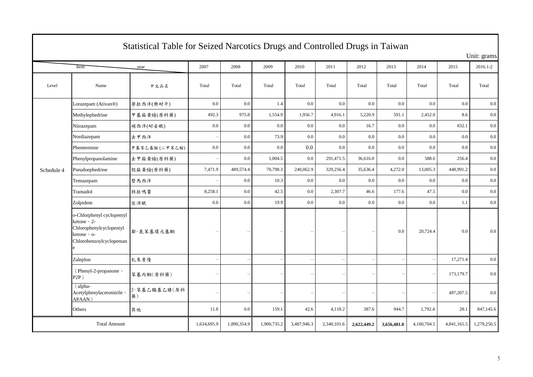| Statistical Table for Seized Narcotics Drugs and Controlled Drugs in Taiwan |                                                                                                                      |                    |                          |                          |             |                          |             |                          |             |             |             |             |
|-----------------------------------------------------------------------------|----------------------------------------------------------------------------------------------------------------------|--------------------|--------------------------|--------------------------|-------------|--------------------------|-------------|--------------------------|-------------|-------------|-------------|-------------|
|                                                                             |                                                                                                                      |                    |                          |                          |             |                          |             |                          |             |             |             | Unit: grams |
|                                                                             | Item                                                                                                                 | year               | 2007                     | 2008                     | 2009        | 2010                     | 2011        | 2012                     | 2013        | 2014        | 2015        | 2016.1-2    |
| Level                                                                       | Name                                                                                                                 | 中文品名               | Total                    | Total                    | Total       | Total                    | Total       | Total                    | Total       | Total       | Total       | Total       |
|                                                                             | Lorazepam (Ativan®)                                                                                                  | 勞拉西泮(樂耐平)          | 0.0                      | 0.0                      | 1.4         | 0.0                      | 0.0         | 0.0                      | 0.0         | 0.0         | 0.0         | 0.0         |
|                                                                             | Methylephedrine                                                                                                      | 甲基麻黄蛾(原料藥)         | 492.3                    | 975.8                    | 1,554.9     | 1,956.7                  | 4,916.1     | 5,220.9                  | 591.1       | 2,452.0     | 8.6         | 0.0         |
|                                                                             | Nitrazepam                                                                                                           | 硝西泮(耐妥眠)           | $0.0\,$                  | 0.0                      | 0.0         | 0.0                      | 0.0         | 16.7                     | 0.0         | 0.0         | 832.1       | 0.0         |
|                                                                             | Nordiazepam                                                                                                          | 去甲西泮               |                          | 0.0                      | 73.9        | 0.0                      | 0.0         | 0.0                      | 0.0         | $0.0\,$     | 0.0         | 0.0         |
|                                                                             | Phentermine                                                                                                          | 甲基苯乙基胺(二甲苯乙胺)      | 0.0                      | 0.0                      | 0.0         | 0.0                      | 0.0         | 0.0                      | 0.0         | 0.0         | 0.0         | 0.0         |
|                                                                             | Phenylpropanolamine                                                                                                  | 去甲麻黄蛾(原料藥)         | $\overline{\phantom{a}}$ | 0.0                      | 1,004.5     | 0.0                      | 291,471.5   | 36,616.0                 | 0.0         | 588.6       | 256.4       | 0.0         |
| Schedule 4                                                                  | Pseudoephedrine                                                                                                      | 假麻黄蛾(原料藥)          | 7,471.9                  | 489,574.4                | 70,798.3    | 240,062.9                | 329,256.4   | 35,636.4                 | 4,272.0     | 13,005.3    | 448,991.2   | 0.0         |
|                                                                             | Temazepam                                                                                                            | 替馬西泮               | $\overline{\phantom{0}}$ | $0.0\,$                  | 10.3        | 0.0                      | 0.0         | 0.0                      | $0.0\,$     | 0.0         | 0.0         | 0.0         |
|                                                                             | Tramadol                                                                                                             | 特拉嗎竇               | 8,258.1                  | 0.0                      | 42.5        | 0.0                      | 2,307.7     | 46.6                     | 177.6       | 47.5        | 0.0         | 0.0         |
|                                                                             | Zolpidem                                                                                                             | 佐沛眠                | $0.0\,$                  | 0.0                      | 19.9        | 0.0                      | 0.0         | $0.0\,$                  | 0.0         | 0.0         | 1.1         | 0.0         |
|                                                                             | o-Chlorphenyl cyclopentyl<br>ketone $\cdot$ 2-<br>Chlorophenylcyclopentyl<br>ketone · o-<br>Chlorobenzoylcyclopentan | 鄰-氯苯基環戊基酮          |                          |                          |             |                          |             | -                        | 0.0         | 20,724.4    | 0.0         | 0.0         |
|                                                                             | Zaleplon                                                                                                             | 札來普隆               | $\overline{\phantom{0}}$ | $\overline{\phantom{0}}$ |             |                          |             | $\overline{\phantom{0}}$ |             |             | 17,271.4    | $0.0\,$     |
|                                                                             | (Phenyl-2-propanone \<br>$P2P$ )                                                                                     | 苯基丙酮(原料藥)          |                          | $\overline{\phantom{0}}$ |             | $\overline{\phantom{a}}$ |             | $\overline{\phantom{0}}$ |             |             | 173,179.7   | 0.0         |
|                                                                             | $(alpha$ -<br>Acetylphenylacetonitrile \<br>APAAN)                                                                   | 2-苯基乙醯基乙腈(原料<br>藥) |                          | $\overline{\phantom{0}}$ |             |                          |             | $\overline{\phantom{a}}$ |             |             | 497,207.5   | 0.0         |
|                                                                             | Others                                                                                                               | 其他                 | 11.8                     | 0.0                      | 159.1       | 42.6                     | 4,118.2     | 387.6                    | 944.7       | 1,792.4     | 28.1        | 847,145.6   |
| <b>Total Amount</b>                                                         |                                                                                                                      |                    | 1,634,695.9              | 1,890,354.9              | 1,900,735.2 | 3,487,946.3              | 2,340,101.6 | 2,622,449.2              | 3,656,481.0 | 4,160,704.5 | 4,841,165.5 | 1,279,250.5 |